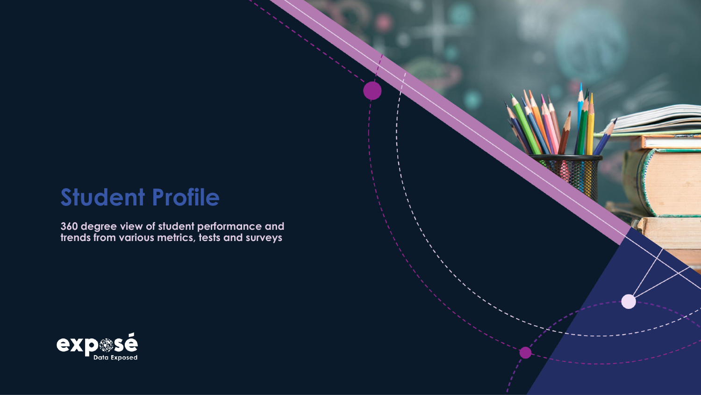# **Student Profile**

**360 degree view of student performance and trends from various metrics, tests and surveys**